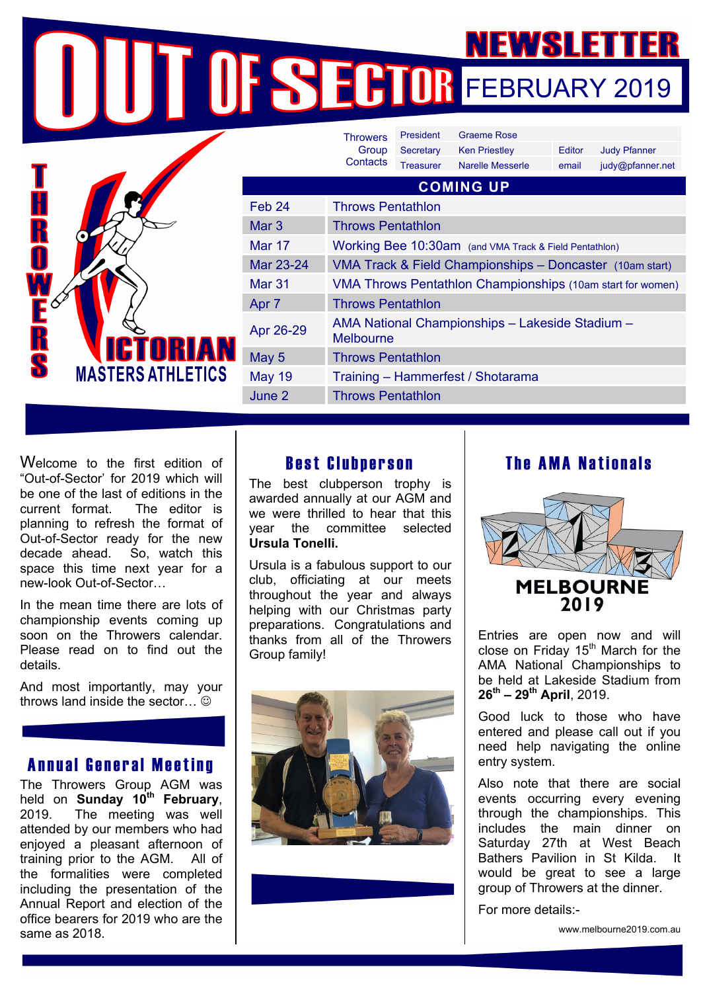NEWSLETTER NEWSLETTER

| Ť      |                  |
|--------|------------------|
| F<br>♦ | <b>VICTORIAN</b> |

|                  | <b>Throwers</b><br>Group<br>Contacts                                | President        | <b>Graeme Rose</b>                                       |        |                     |  |
|------------------|---------------------------------------------------------------------|------------------|----------------------------------------------------------|--------|---------------------|--|
|                  |                                                                     | Secretary        | <b>Ken Priestley</b>                                     | Editor | <b>Judy Pfanner</b> |  |
|                  |                                                                     | <b>Treasurer</b> | Narelle Messerle                                         | email  | judy@pfanner.net    |  |
| <b>COMING UP</b> |                                                                     |                  |                                                          |        |                     |  |
| Feb 24           | <b>Throws Pentathlon</b>                                            |                  |                                                          |        |                     |  |
| Mar <sub>3</sub> | <b>Throws Pentathlon</b>                                            |                  |                                                          |        |                     |  |
| Mar 17           | Working Bee 10:30am (and VMA Track & Field Pentathlon)              |                  |                                                          |        |                     |  |
| Mar 23-24        |                                                                     |                  | VMA Track & Field Championships - Doncaster (10am start) |        |                     |  |
| Mar 31           | VMA Throws Pentathlon Championships (10am start for women)          |                  |                                                          |        |                     |  |
| Apr 7            | <b>Throws Pentathlon</b>                                            |                  |                                                          |        |                     |  |
| Apr 26-29        | AMA National Championships - Lakeside Stadium -<br><b>Melbourne</b> |                  |                                                          |        |                     |  |
| May 5            | <b>Throws Pentathlon</b>                                            |                  |                                                          |        |                     |  |
| <b>May 19</b>    | Training - Hammerfest / Shotarama                                   |                  |                                                          |        |                     |  |
| June 2           | <b>Throws Pentathlon</b>                                            |                  |                                                          |        |                     |  |
|                  |                                                                     |                  |                                                          |        |                     |  |

Welcome to the first edition of "Out-of-Sector' for 2019 which will be one of the last of editions in the current format. The editor is planning to refresh the format of Out-of-Sector ready for the new decade ahead. So, watch this space this time next year for a new-look Out-of-Sector…

In the mean time there are lots of championship events coming up soon on the Throwers calendar. Please read on to find out the details.

And most importantly, may your throws land inside the sector... $\odot$ 

### Annual General Meeting

The Throwers Group AGM was held on **Sunday 10th February**, 2019. The meeting was well attended by our members who had enjoyed a pleasant afternoon of training prior to the AGM. All of the formalities were completed including the presentation of the Annual Report and election of the office bearers for 2019 who are the same as 2018.

# Best Clubperson

The best clubperson trophy is awarded annually at our AGM and we were thrilled to hear that this year the committee selected **Ursula Tonelli.**

Ursula is a fabulous support to our club, officiating at our meets throughout the year and always helping with our Christmas party preparations. Congratulations and thanks from all of the Throwers Group family!



# The AMA Nationals



Entries are open now and will close on Friday  $15<sup>th</sup>$  March for the AMA National Championships to be held at Lakeside Stadium from **26th – 29th April**, 2019.

Good luck to those who have entered and please call out if you need help navigating the online entry system.

Also note that there are social events occurring every evening through the championships. This includes the main dinner on Saturday 27th at West Beach Bathers Pavilion in St Kilda. It would be great to see a large group of Throwers at the dinner.

For more details:-